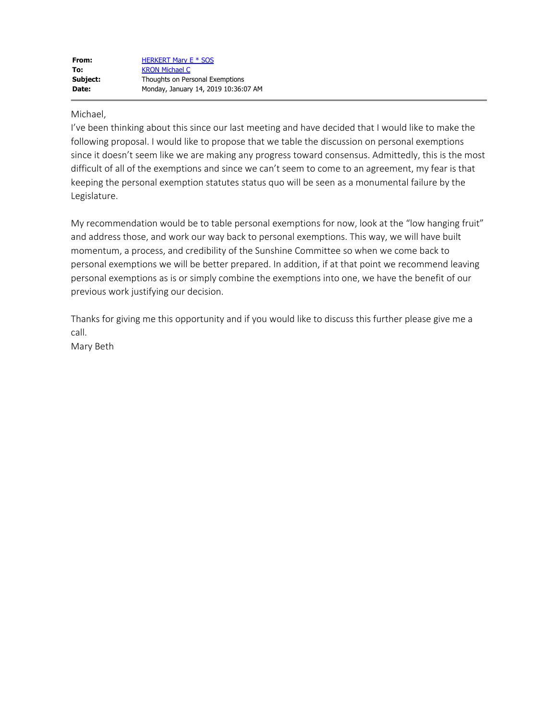## Michael,

I've been thinking about this since our last meeting and have decided that I would like to make the following proposal. I would like to propose that we table the discussion on personal exemptions since it doesn't seem like we are making any progress toward consensus. Admittedly, this is the most difficult of all of the exemptions and since we can't seem to come to an agreement, my fear is that keeping the personal exemption statutes status quo will be seen as a monumental failure by the Legislature.

My recommendation would be to table personal exemptions for now, look at the "low hanging fruit" and address those, and work our way back to personal exemptions. This way, we will have built momentum, a process, and credibility of the Sunshine Committee so when we come back to personal exemptions we will be better prepared. In addition, if at that point we recommend leaving personal exemptions as is or simply combine the exemptions into one, we have the benefit of our previous work justifying our decision.

Thanks for giving me this opportunity and if you would like to discuss this further please give me a call.

Mary Beth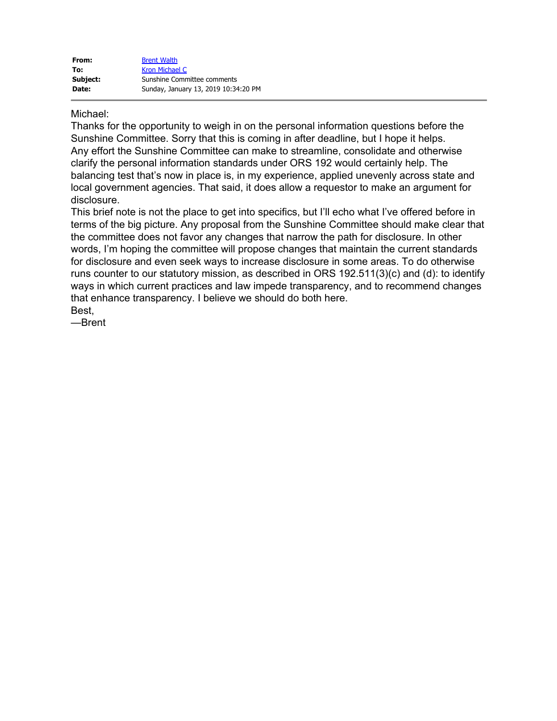## Michael:

Thanks for the opportunity to weigh in on the personal information questions before the Sunshine Committee. Sorry that this is coming in after deadline, but I hope it helps. Any effort the Sunshine Committee can make to streamline, consolidate and otherwise clarify the personal information standards under ORS 192 would certainly help. The balancing test that's now in place is, in my experience, applied unevenly across state and local government agencies. That said, it does allow a requestor to make an argument for disclosure.

This brief note is not the place to get into specifics, but I'll echo what I've offered before in terms of the big picture. Any proposal from the Sunshine Committee should make clear that the committee does not favor any changes that narrow the path for disclosure. In other words, I'm hoping the committee will propose changes that maintain the current standards for disclosure and even seek ways to increase disclosure in some areas. To do otherwise runs counter to our statutory mission, as described in ORS 192.511(3)(c) and (d): to identify ways in which current practices and law impede transparency, and to recommend changes that enhance transparency. I believe we should do both here. Best,

—Brent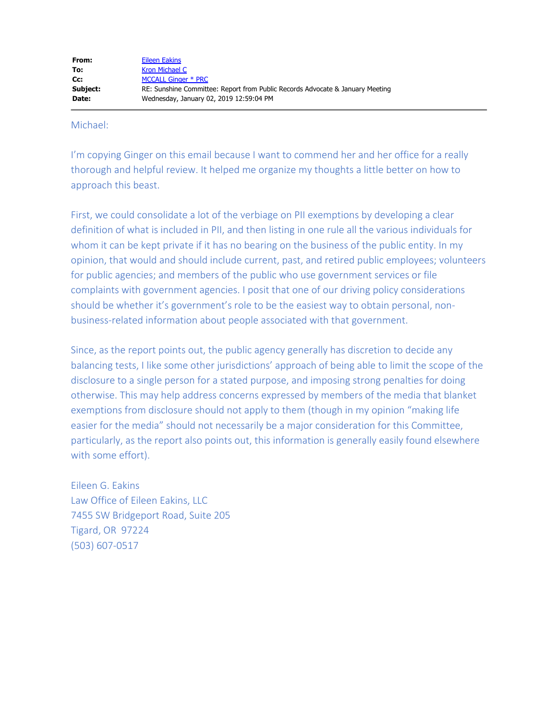## Michael:

I'm copying Ginger on this email because I want to commend her and her office for a really thorough and helpful review. It helped me organize my thoughts a little better on how to approach this beast.

First, we could consolidate a lot of the verbiage on PII exemptions by developing a clear definition of what is included in PII, and then listing in one rule all the various individuals for whom it can be kept private if it has no bearing on the business of the public entity. In my opinion, that would and should include current, past, and retired public employees; volunteers for public agencies; and members of the public who use government services or file complaints with government agencies. I posit that one of our driving policy considerations should be whether it's government's role to be the easiest way to obtain personal, nonbusiness-related information about people associated with that government.

Since, as the report points out, the public agency generally has discretion to decide any balancing tests, I like some other jurisdictions' approach of being able to limit the scope of the disclosure to a single person for a stated purpose, and imposing strong penalties for doing otherwise. This may help address concerns expressed by members of the media that blanket exemptions from disclosure should not apply to them (though in my opinion "making life easier for the media" should not necessarily be a major consideration for this Committee, particularly, as the report also points out, this information is generally easily found elsewhere with some effort).

Eileen G. Eakins Law Office of Eileen Eakins, LLC 7455 SW Bridgeport Road, Suite 205 Tigard, OR 97224 (503) 607-0517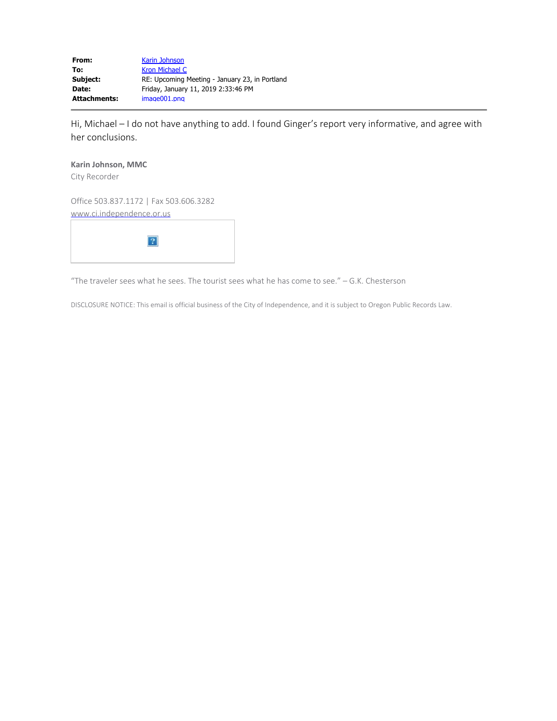**From:** Karin Johnson **To:** Kron Michael C **Subject:** RE: Upcoming Meeting - January 23, in Portland **Date:** Friday, January 11, 2019 2:33:46 PM **Attachments:** image001.png

Hi, Michael – I do not have anything to add. I found Ginger's report very informative, and agree with her conclusions.

## **Karin Johnson, MMC**

City Recorder

Office 503.837.1172 | Fax 503.606.3282 www.ci.independence.or.us

"The traveler sees what he sees. The tourist sees what he has come to see." – G.K. Chesterson

DISCLOSURE NOTICE: This email is official business of the City of Independence, and it is subject to Oregon Public Records Law.